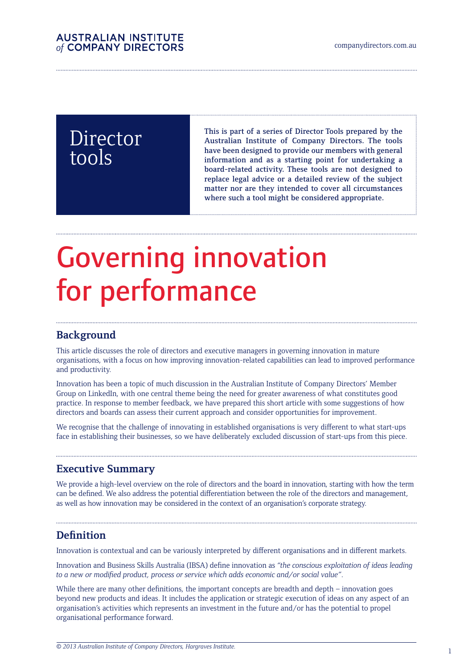# Director tools

This is part of a series of Director Tools prepared by the Australian Institute of Company Directors. The tools have been designed to provide our members with general information and as a starting point for undertaking a board-related activity. These tools are not designed to replace legal advice or a detailed review of the subject matter nor are they intended to cover all circumstances where such a tool might be considered appropriate.

# Governing innovation for performance

## **Background**

This article discusses the role of directors and executive managers in governing innovation in mature organisations, with a focus on how improving innovation-related capabilities can lead to improved performance and productivity.

Innovation has been a topic of much discussion in the Australian Institute of Company Directors' Member Group on LinkedIn, with one central theme being the need for greater awareness of what constitutes good practice. In response to member feedback, we have prepared this short article with some suggestions of how directors and boards can assess their current approach and consider opportunities for improvement.

We recognise that the challenge of innovating in established organisations is very different to what start-ups face in establishing their businesses, so we have deliberately excluded discussion of start-ups from this piece.

### **Executive Summary**

We provide a high-level overview on the role of directors and the board in innovation, starting with how the term can be defined. We also address the potential differentiation between the role of the directors and management, as well as how innovation may be considered in the context of an organisation's corporate strategy.

## **Definition**

Innovation is contextual and can be variously interpreted by different organisations and in different markets.

Innovation and Business Skills Australia (IBSA) define innovation as *"the conscious exploitation of ideas leading to a new or modified product, process or service which adds economic and/or social value"*.

While there are many other definitions, the important concepts are breadth and depth – innovation goes beyond new products and ideas. It includes the application or strategic execution of ideas on any aspect of an organisation's activities which represents an investment in the future and/or has the potential to propel organisational performance forward.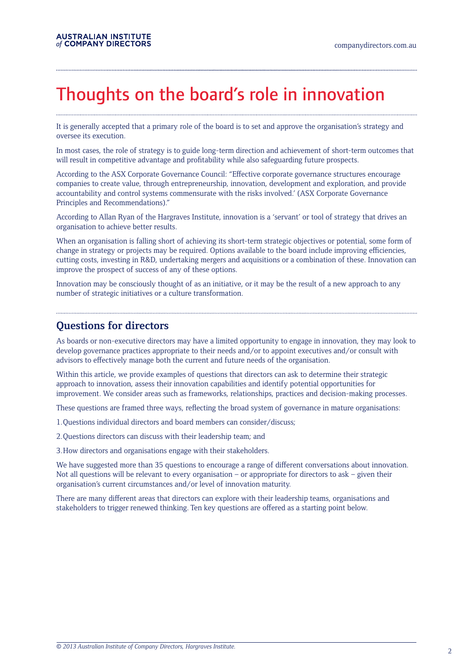## Thoughts on the board's role in innovation

It is generally accepted that a primary role of the board is to set and approve the organisation's strategy and oversee its execution.

In most cases, the role of strategy is to guide long-term direction and achievement of short-term outcomes that will result in competitive advantage and profitability while also safeguarding future prospects.

According to the ASX Corporate Governance Council: "Effective corporate governance structures encourage companies to create value, through entrepreneurship, innovation, development and exploration, and provide accountability and control systems commensurate with the risks involved.' (ASX Corporate Governance Principles and Recommendations)."

According to Allan Ryan of the Hargraves Institute, innovation is a 'servant' or tool of strategy that drives an organisation to achieve better results.

When an organisation is falling short of achieving its short-term strategic objectives or potential, some form of change in strategy or projects may be required. Options available to the board include improving efficiencies, cutting costs, investing in R&D, undertaking mergers and acquisitions or a combination of these. Innovation can improve the prospect of success of any of these options.

Innovation may be consciously thought of as an initiative, or it may be the result of a new approach to any number of strategic initiatives or a culture transformation.

#### **Questions for directors**

As boards or non-executive directors may have a limited opportunity to engage in innovation, they may look to develop governance practices appropriate to their needs and/or to appoint executives and/or consult with advisors to effectively manage both the current and future needs of the organisation.

Within this article, we provide examples of questions that directors can ask to determine their strategic approach to innovation, assess their innovation capabilities and identify potential opportunities for improvement. We consider areas such as frameworks, relationships, practices and decision-making processes.

These questions are framed three ways, reflecting the broad system of governance in mature organisations:

1.Questions individual directors and board members can consider/discuss;

2.Questions directors can discuss with their leadership team; and

3.How directors and organisations engage with their stakeholders.

We have suggested more than 35 questions to encourage a range of different conversations about innovation. Not all questions will be relevant to every organisation – or appropriate for directors to ask – given their organisation's current circumstances and/or level of innovation maturity.

There are many different areas that directors can explore with their leadership teams, organisations and stakeholders to trigger renewed thinking. Ten key questions are offered as a starting point below.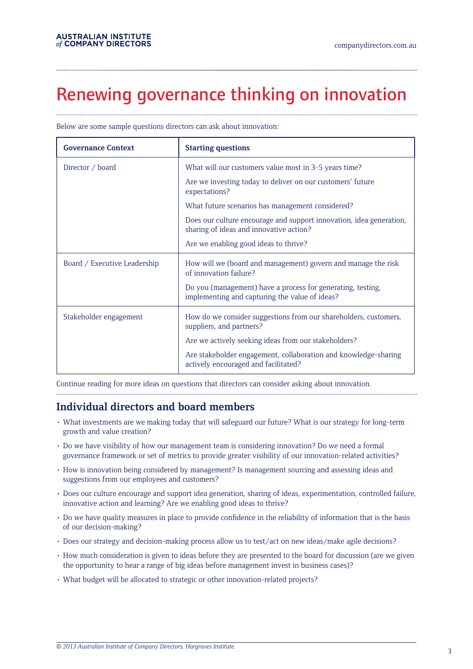# Renewing governance thinking on innovation

| <b>Governance Context</b>    | <b>Starting questions</b>                                                                                      |  |
|------------------------------|----------------------------------------------------------------------------------------------------------------|--|
| Director / board             | What will our customers value most in 3-5 years time?                                                          |  |
|                              | Are we investing today to deliver on our customers' future<br>expectations?                                    |  |
|                              | What future scenarios has management considered?                                                               |  |
|                              | Does our culture encourage and support innovation, idea generation,<br>sharing of ideas and innovative action? |  |
|                              | Are we enabling good ideas to thrive?                                                                          |  |
| Board / Executive Leadership | How will we (board and management) govern and manage the risk<br>of innovation failure?                        |  |
|                              | Do you (management) have a process for generating, testing,<br>implementing and capturing the value of ideas?  |  |
| Stakeholder engagement       | How do we consider suggestions from our shareholders, customers,<br>suppliers, and partners?                   |  |
|                              | Are we actively seeking ideas from our stakeholders?                                                           |  |
|                              | Are stakeholder engagement, collaboration and knowledge-sharing<br>actively encouraged and facilitated?        |  |

Below are some sample questions directors can ask about innovation:

Continue reading for more ideas on questions that directors can consider asking about innovation.

## **Individual directors and board members**

• What investments are we making today that will safeguard our future? What is our strategy for long-term growth and value creation?

- • Do we have visibility of how our management team is considering innovation? Do we need a formal governance framework or set of metrics to provide greater visibility of our innovation-related activities?
- • How is innovation being considered by management? Is management sourcing and assessing ideas and suggestions from our employees and customers?
- • Does our culture encourage and support idea generation, sharing of ideas, experimentation, controlled failure, innovative action and learning? Are we enabling good ideas to thrive?
- • Do we have quality measures in place to provide confidence in the reliability of information that is the basis of our decision-making?
- • Does our strategy and decision-making process allow us to test/act on new ideas/make agile decisions?
- • How much consideration is given to ideas before they are presented to the board for discussion (are we given the opportunity to hear a range of big ideas before management invest in business cases)?
- • What budget will be allocated to strategic or other innovation-related projects?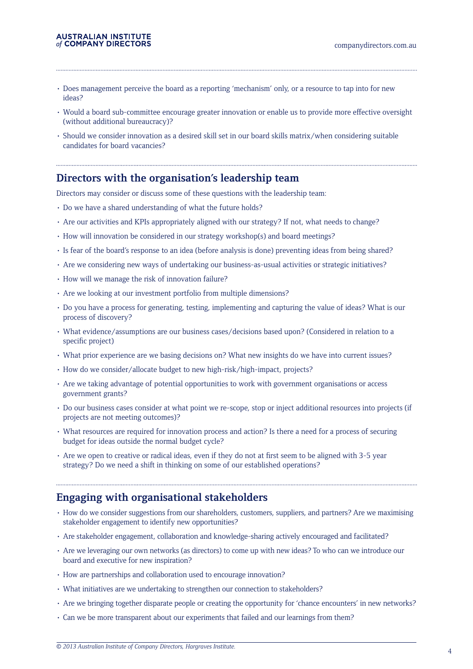## **AUSTRALIAN INSTITUTE**<br>of COMPANY DIRECTORS

- • Does management perceive the board as a reporting 'mechanism' only, or a resource to tap into for new ideas?
- • Would a board sub-committee encourage greater innovation or enable us to provide more effective oversight (without additional bureaucracy)?
- • Should we consider innovation as a desired skill set in our board skills matrix/when considering suitable candidates for board vacancies?

### **Directors with the organisation's leadership team**

Directors may consider or discuss some of these questions with the leadership team:

- Do we have a shared understanding of what the future holds?
- • Are our activities and KPIs appropriately aligned with our strategy? If not, what needs to change?
- • How will innovation be considered in our strategy workshop(s) and board meetings?
- • Is fear of the board's response to an idea (before analysis is done) preventing ideas from being shared?
- • Are we considering new ways of undertaking our business-as-usual activities or strategic initiatives?
- • How will we manage the risk of innovation failure?
- Are we looking at our investment portfolio from multiple dimensions?
- • Do you have a process for generating, testing, implementing and capturing the value of ideas? What is our process of discovery?
- • What evidence/assumptions are our business cases/decisions based upon? (Considered in relation to a specific project)
- What prior experience are we basing decisions on? What new insights do we have into current issues?
- • How do we consider/allocate budget to new high-risk/high-impact, projects?
- • Are we taking advantage of potential opportunities to work with government organisations or access government grants?
- • Do our business cases consider at what point we re-scope, stop or inject additional resources into projects (if projects are not meeting outcomes)?
- • What resources are required for innovation process and action? Is there a need for a process of securing budget for ideas outside the normal budget cycle?
- Are we open to creative or radical ideas, even if they do not at first seem to be aligned with 3-5 year strategy? Do we need a shift in thinking on some of our established operations?

### **Engaging with organisational stakeholders**

- • How do we consider suggestions from our shareholders, customers, suppliers, and partners? Are we maximising stakeholder engagement to identify new opportunities?
- • Are stakeholder engagement, collaboration and knowledge-sharing actively encouraged and facilitated?
- • Are we leveraging our own networks (as directors) to come up with new ideas? To who can we introduce our board and executive for new inspiration?
- How are partnerships and collaboration used to encourage innovation?
- What initiatives are we undertaking to strengthen our connection to stakeholders?
- • Are we bringing together disparate people or creating the opportunity for 'chance encounters' in new networks?
- • Can we be more transparent about our experiments that failed and our learnings from them?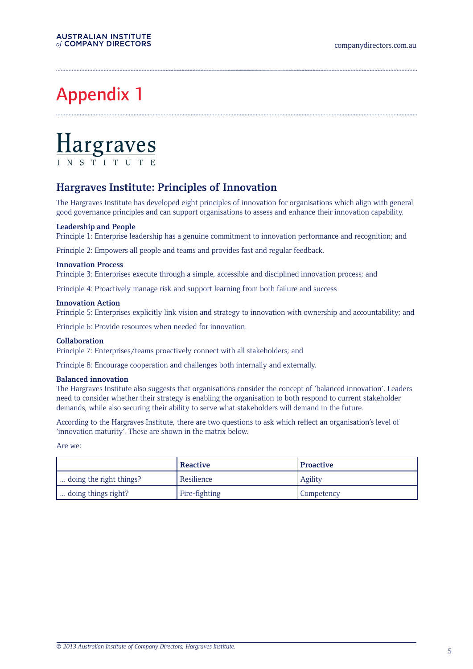# Appendix 1

# $\frac{\text{Hargraves}}{\text{LNS TUTUTE}}$

## **Hargraves Institute: Principles of Innovation**

The Hargraves Institute has developed eight principles of innovation for organisations which align with general good governance principles and can support organisations to assess and enhance their innovation capability.

#### **Leadership and People**

Principle 1: Enterprise leadership has a genuine commitment to innovation performance and recognition; and

Principle 2: Empowers all people and teams and provides fast and regular feedback.

#### **Innovation Process**

Principle 3: Enterprises execute through a simple, accessible and disciplined innovation process; and

Principle 4: Proactively manage risk and support learning from both failure and success

#### **Innovation Action**

Principle 5: Enterprises explicitly link vision and strategy to innovation with ownership and accountability; and

Principle 6: Provide resources when needed for innovation.

#### **Collaboration**

Principle 7: Enterprises/teams proactively connect with all stakeholders; and

Principle 8: Encourage cooperation and challenges both internally and externally.

#### **Balanced innovation**

The Hargraves Institute also suggests that organisations consider the concept of 'balanced innovation'. Leaders need to consider whether their strategy is enabling the organisation to both respond to current stakeholder demands, while also securing their ability to serve what stakeholders will demand in the future.

According to the Hargraves Institute, there are two questions to ask which reflect an organisation's level of 'innovation maturity'. These are shown in the matrix below.

Are we:

|                         | ' Reactive    | <b>Proactive</b> |
|-------------------------|---------------|------------------|
| doing the right things? | Resilience    | Agility          |
| doing things right?     | Fire-fighting | Competency       |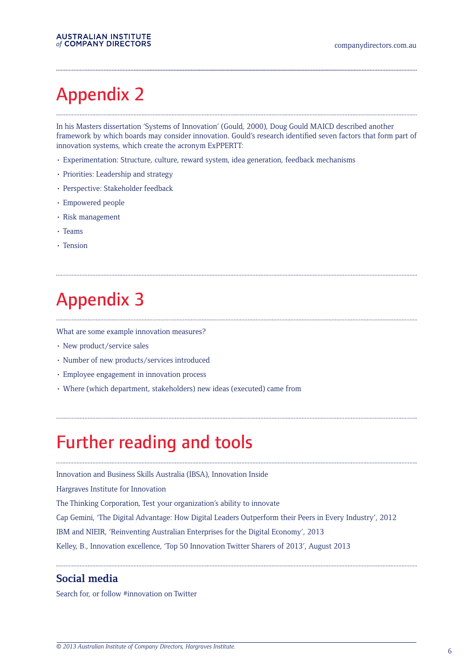# Appendix 2

In his Masters dissertation 'Systems of Innovation' (Gould, 2000), Doug Gould MAICD described another framework by which boards may consider innovation. Gould's research identified seven factors that form part of innovation systems, which create the acronym ExPPERTT:

- • Experimentation: Structure, culture, reward system, idea generation, feedback mechanisms
- Priorities: Leadership and strategy
- Perspective: Stakeholder feedback
- • Empowered people
- • Risk management
- • Teams
- • Tension

# Appendix 3

What are some example innovation measures?

- New product/service sales
- • Number of new products/services introduced
- • Employee engagement in innovation process
- • Where (which department, stakeholders) new ideas (executed) came from

## Further reading and tools

Innovation and Business Skills Australia (IBSA), Innovation Inside

Hargraves Institute for Innovation

The Thinking Corporation, Test your organization's ability to innovate

Cap Gemini, 'The Digital Advantage: How Digital Leaders Outperform their Peers in Every Industry', 2012

IBM and NIEIR, 'Reinventing Australian Enterprises for the Digital Economy', 2013

Kelley, B., Innovation excellence, 'Top 50 Innovation Twitter Sharers of 2013', August 2013

#### **Social media**

Search for, or follow #innovation on Twitter